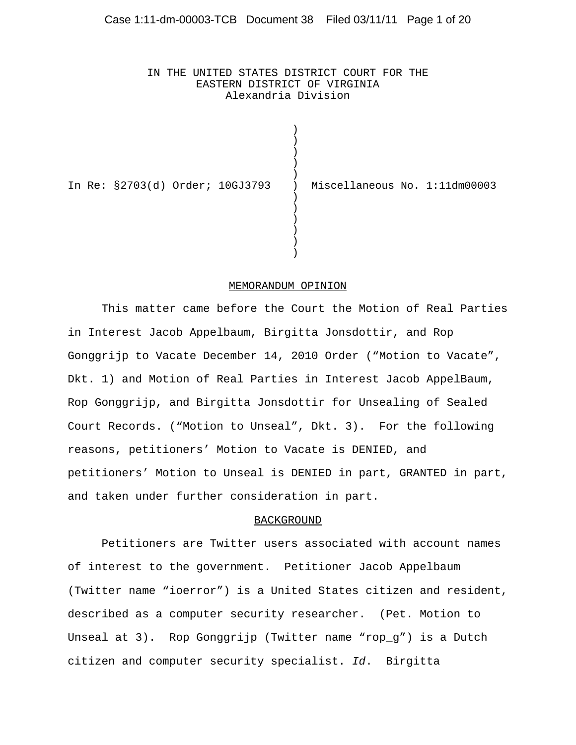IN THE UNITED STATES DISTRICT COURT FOR THE EASTERN DISTRICT OF VIRGINIA Alexandria Division

 $\lambda$ 

|  | In Re: §2703(d) Order; 10GJ3793 ) | Miscellaneous No. 1:11dm00003 |  |
|--|-----------------------------------|-------------------------------|--|
|  |                                   |                               |  |

#### MEMORANDUM OPINION

This matter came before the Court the Motion of Real Parties in Interest Jacob Appelbaum, Birgitta Jonsdottir, and Rop Gonggrijp to Vacate December 14, 2010 Order ("Motion to Vacate", Dkt. 1) and Motion of Real Parties in Interest Jacob AppelBaum, Rop Gonggrijp, and Birgitta Jonsdottir for Unsealing of Sealed Court Records. ("Motion to Unseal", Dkt. 3). For the following reasons, petitioners' Motion to Vacate is DENIED, and petitioners' Motion to Unseal is DENIED in part, GRANTED in part, and taken under further consideration in part.

#### BACKGROUND

Petitioners are Twitter users associated with account names of interest to the government. Petitioner Jacob Appelbaum (Twitter name "ioerror") is a United States citizen and resident, described as a computer security researcher. (Pet. Motion to Unseal at 3). Rop Gonggrijp (Twitter name "rop\_g") is a Dutch citizen and computer security specialist. *Id*. Birgitta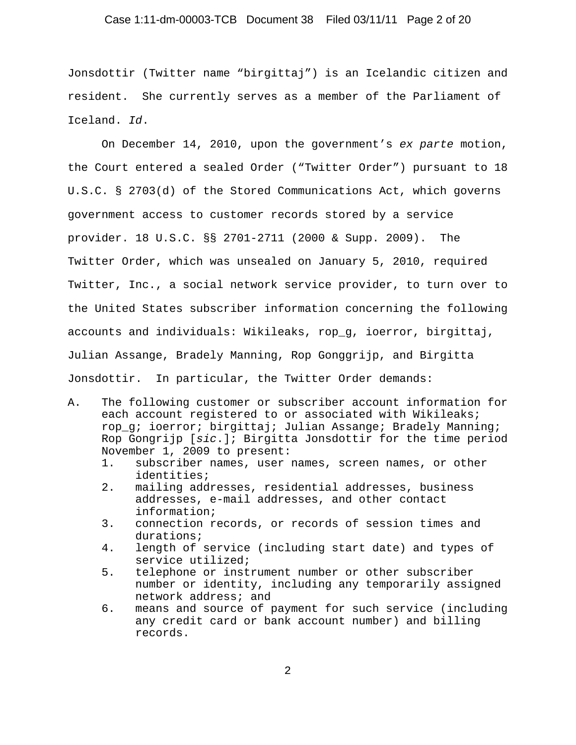# Case 1:11-dm-00003-TCB Document 38 Filed 03/11/11 Page 2 of 20

Jonsdottir (Twitter name "birgittaj") is an Icelandic citizen and resident. She currently serves as a member of the Parliament of Iceland. *Id*.

On December 14, 2010, upon the government's *ex parte* motion, the Court entered a sealed Order ("Twitter Order") pursuant to 18 U.S.C. § 2703(d) of the Stored Communications Act, which governs government access to customer records stored by a service provider. 18 U.S.C. §§ 2701-2711 (2000 & Supp. 2009). The Twitter Order, which was unsealed on January 5, 2010, required Twitter, Inc., a social network service provider, to turn over to the United States subscriber information concerning the following accounts and individuals: Wikileaks, rop\_g, ioerror, birgittaj, Julian Assange, Bradely Manning, Rop Gonggrijp, and Birgitta Jonsdottir. In particular, the Twitter Order demands:

- A. The following customer or subscriber account information for each account registered to or associated with Wikileaks; rop\_g; ioerror; birgittaj; Julian Assange; Bradely Manning; Rop Gongrijp [*sic*.]; Birgitta Jonsdottir for the time period November 1, 2009 to present:
	- 1. subscriber names, user names, screen names, or other identities;
	- 2. mailing addresses, residential addresses, business addresses, e-mail addresses, and other contact information;
	- 3. connection records, or records of session times and durations;
	- 4. length of service (including start date) and types of service utilized;
	- 5. telephone or instrument number or other subscriber number or identity, including any temporarily assigned network address; and
	- 6. means and source of payment for such service (including any credit card or bank account number) and billing records.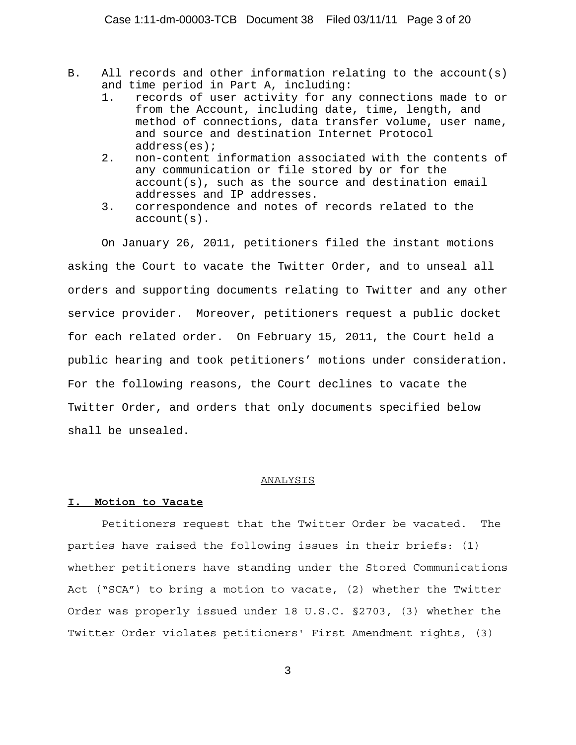- B. All records and other information relating to the account(s) and time period in Part A, including:
	- 1. records of user activity for any connections made to or from the Account, including date, time, length, and method of connections, data transfer volume, user name, and source and destination Internet Protocol address(es);
	- 2. non-content information associated with the contents of any communication or file stored by or for the account(s), such as the source and destination email addresses and IP addresses.
	- 3. correspondence and notes of records related to the account(s).

On January 26, 2011, petitioners filed the instant motions asking the Court to vacate the Twitter Order, and to unseal all orders and supporting documents relating to Twitter and any other service provider. Moreover, petitioners request a public docket for each related order. On February 15, 2011, the Court held a public hearing and took petitioners' motions under consideration. For the following reasons, the Court declines to vacate the Twitter Order, and orders that only documents specified below shall be unsealed.

#### ANALYSIS

#### **I. Motion to Vacate**

Petitioners request that the Twitter Order be vacated. The parties have raised the following issues in their briefs: (1) whether petitioners have standing under the Stored Communications Act ("SCA") to bring a motion to vacate, (2) whether the Twitter Order was properly issued under 18 U.S.C. §2703, (3) whether the Twitter Order violates petitioners' First Amendment rights, (3)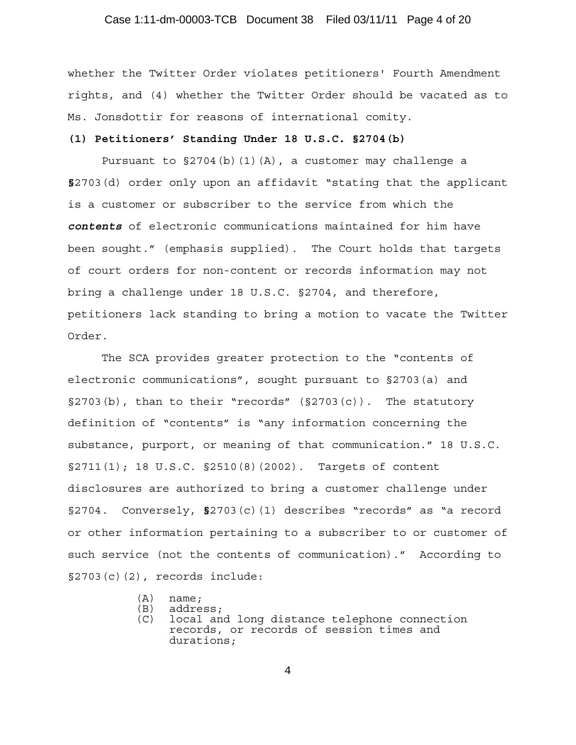# Case 1:11-dm-00003-TCB Document 38 Filed 03/11/11 Page 4 of 20

whether the Twitter Order violates petitioners' Fourth Amendment rights, and (4) whether the Twitter Order should be vacated as to Ms. Jonsdottir for reasons of international comity.

#### **(1) Petitioners' Standing Under 18 U.S.C. §2704(b)**

Pursuant to  $\S 2704(b)(1)(A)$ , a customer may challenge a **§**2703(d) order only upon an affidavit "stating that the applicant is a customer or subscriber to the service from which the *contents* of electronic communications maintained for him have been sought." (emphasis supplied). The Court holds that targets of court orders for non-content or records information may not bring a challenge under 18 U.S.C. §2704, and therefore, petitioners lack standing to bring a motion to vacate the Twitter Order.

The SCA provides greater protection to the "contents of electronic communications", sought pursuant to §2703(a) and  $\S2703(b)$ , than to their "records" ( $\S2703(c)$ ). The statutory definition of "contents" is "any information concerning the substance, purport, or meaning of that communication." 18 U.S.C.  $\S2711(1)$ ; 18 U.S.C.  $\S2510(8)(2002)$ . Targets of content disclosures are authorized to bring a customer challenge under §2704. Conversely, **§**2703(c)(1) describes "records" as "a record or other information pertaining to a subscriber to or customer of such service (not the contents of communication)." According to §2703(c)(2), records include:

- (A) name;
- (B) address;
- (C) local and long distance telephone connection records, or records of session times and durations;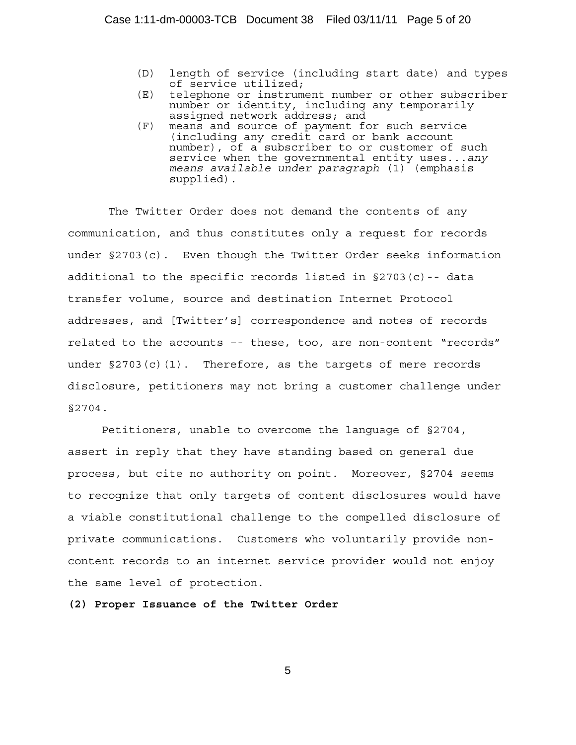- (D) length of service (including start date) and types of service utilized;
- (E) telephone or instrument number or other subscriber number or identity, including any temporarily assigned network address; and
- (F) means and source of payment for such service (including any credit card or bank account number), of a subscriber to or customer of such service when the governmental entity uses...*any means available under paragraph* (1) (emphasis supplied).

 The Twitter Order does not demand the contents of any communication, and thus constitutes only a request for records under §2703(c). Even though the Twitter Order seeks information additional to the specific records listed in §2703(c)-- data transfer volume, source and destination Internet Protocol addresses, and [Twitter's] correspondence and notes of records related to the accounts –- these, too, are non-content "records" under  $\S 2703(c)(1)$ . Therefore, as the targets of mere records disclosure, petitioners may not bring a customer challenge under §2704.

Petitioners, unable to overcome the language of §2704, assert in reply that they have standing based on general due process, but cite no authority on point. Moreover, §2704 seems to recognize that only targets of content disclosures would have a viable constitutional challenge to the compelled disclosure of private communications. Customers who voluntarily provide noncontent records to an internet service provider would not enjoy the same level of protection.

**(2) Proper Issuance of the Twitter Order**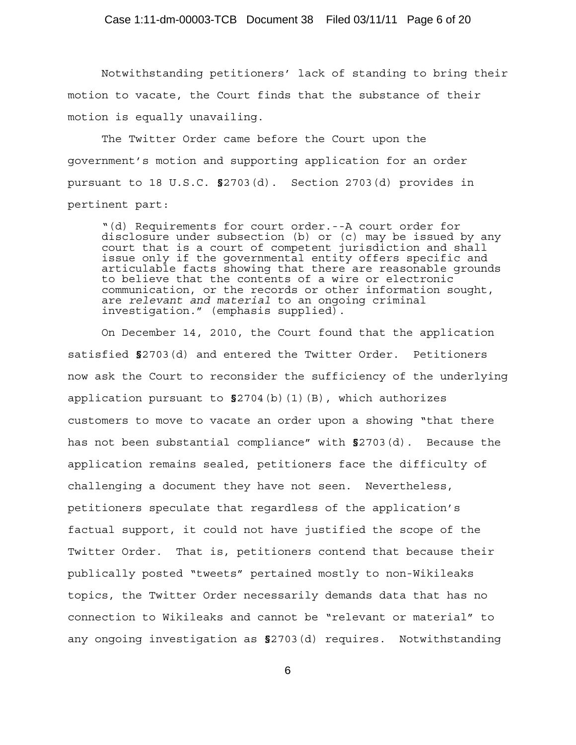Notwithstanding petitioners' lack of standing to bring their motion to vacate, the Court finds that the substance of their motion is equally unavailing.

The Twitter Order came before the Court upon the government's motion and supporting application for an order pursuant to 18 U.S.C. **§**2703(d). Section 2703(d) provides in pertinent part:

"(d) Requirements for court order.--A court order for disclosure under subsection (b) or (c) may be issued by any court that is a court of competent jurisdiction and shall issue only if the governmental entity offers specific and articulable facts showing that there are reasonable grounds to believe that the contents of a wire or electronic communication, or the records or other information sought, are *relevant and material* to an ongoing criminal investigation." (emphasis supplied).

On December 14, 2010, the Court found that the application satisfied **§**2703(d) and entered the Twitter Order. Petitioners now ask the Court to reconsider the sufficiency of the underlying application pursuant to **§**2704(b)(1)(B), which authorizes customers to move to vacate an order upon a showing "that there has not been substantial compliance" with **§**2703(d). Because the application remains sealed, petitioners face the difficulty of challenging a document they have not seen. Nevertheless, petitioners speculate that regardless of the application's factual support, it could not have justified the scope of the Twitter Order. That is, petitioners contend that because their publically posted "tweets" pertained mostly to non-Wikileaks topics, the Twitter Order necessarily demands data that has no connection to Wikileaks and cannot be "relevant or material" to any ongoing investigation as **§**2703(d) requires. Notwithstanding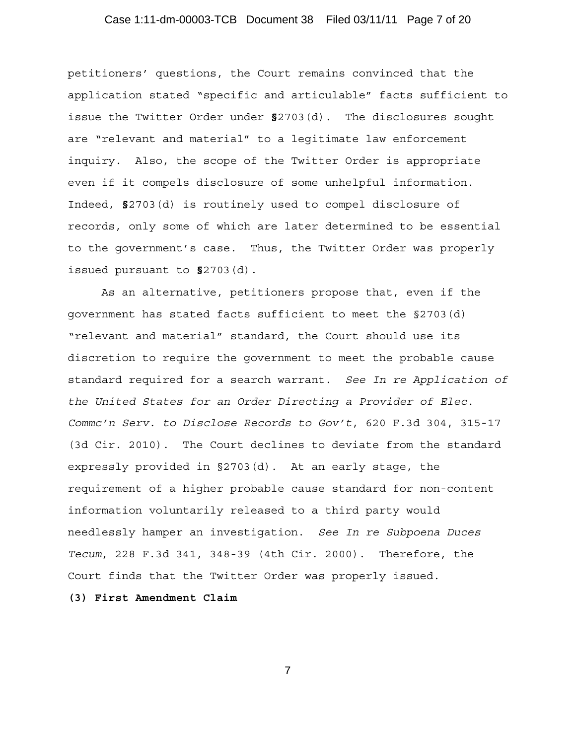# Case 1:11-dm-00003-TCB Document 38 Filed 03/11/11 Page 7 of 20

petitioners' questions, the Court remains convinced that the application stated "specific and articulable" facts sufficient to issue the Twitter Order under **§**2703(d). The disclosures sought are "relevant and material" to a legitimate law enforcement inquiry. Also, the scope of the Twitter Order is appropriate even if it compels disclosure of some unhelpful information. Indeed, **§**2703(d) is routinely used to compel disclosure of records, only some of which are later determined to be essential to the government's case. Thus, the Twitter Order was properly issued pursuant to **§**2703(d).

As an alternative, petitioners propose that, even if the government has stated facts sufficient to meet the §2703(d) "relevant and material" standard, the Court should use its discretion to require the government to meet the probable cause standard required for a search warrant. *See In re Application of the United States for an Order Directing a Provider of Elec. Commc'n Serv. to Disclose Records to Gov't*, 620 F.3d 304, 315-17 (3d Cir. 2010). The Court declines to deviate from the standard expressly provided in §2703(d). At an early stage, the requirement of a higher probable cause standard for non-content information voluntarily released to a third party would needlessly hamper an investigation. *See In re Subpoena Duces Tecum*, 228 F.3d 341, 348-39 (4th Cir. 2000). Therefore, the Court finds that the Twitter Order was properly issued.

**(3) First Amendment Claim**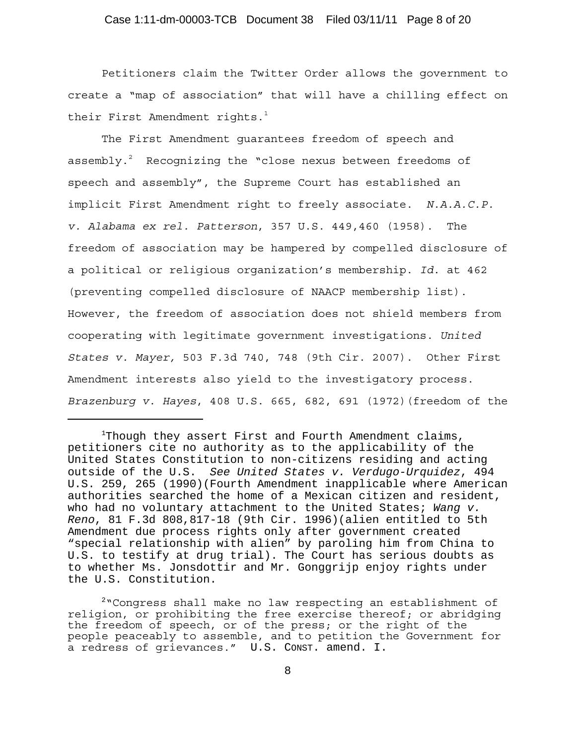# Case 1:11-dm-00003-TCB Document 38 Filed 03/11/11 Page 8 of 20

Petitioners claim the Twitter Order allows the government to create a "map of association" that will have a chilling effect on their First Amendment rights. $1$ 

The First Amendment guarantees freedom of speech and assembly. $^{2}$  Recognizing the "close nexus between freedoms of speech and assembly", the Supreme Court has established an implicit First Amendment right to freely associate. *N.A.A.C.P. v. Alabama ex rel. Patterson*, 357 U.S. 449,460 (1958). The freedom of association may be hampered by compelled disclosure of a political or religious organization's membership. *Id*. at 462 (preventing compelled disclosure of NAACP membership list). However, the freedom of association does not shield members from cooperating with legitimate government investigations. *United States v. Mayer,* 503 F.3d 740, 748 (9th Cir. 2007). Other First Amendment interests also yield to the investigatory process. *Brazenburg v. Hayes*, 408 U.S. 665, 682, 691 (1972)(freedom of the

 $1$ Though they assert First and Fourth Amendment claims, petitioners cite no authority as to the applicability of the United States Constitution to non-citizens residing and acting outside of the U.S. *See United States v. Verdugo-Urquidez*, 494 U.S. 259, 265 (1990)(Fourth Amendment inapplicable where American authorities searched the home of a Mexican citizen and resident, who had no voluntary attachment to the United States; *Wang v. Reno*, 81 F.3d 808,817-18 (9th Cir. 1996)(alien entitled to 5th Amendment due process rights only after government created "special relationship with alien" by paroling him from China to U.S. to testify at drug trial). The Court has serious doubts as to whether Ms. Jonsdottir and Mr. Gonggrijp enjoy rights under the U.S. Constitution.

<sup>&</sup>lt;sup>2</sup> Congress shall make no law respecting an establishment of religion, or prohibiting the free exercise thereof; or abridging the freedom of speech, or of the press; or the right of the people peaceably to assemble, and to petition the Government for a redress of grievances." U.S. CONST. amend. I.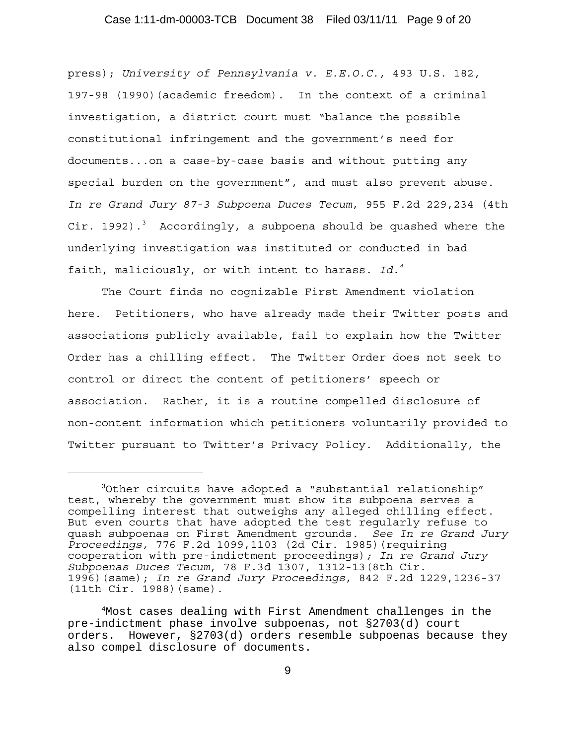# Case 1:11-dm-00003-TCB Document 38 Filed 03/11/11 Page 9 of 20

press); *University of Pennsylvania v. E.E.O.C.*, 493 U.S. 182, 197-98 (1990)(academic freedom). In the context of a criminal investigation, a district court must "balance the possible constitutional infringement and the government's need for documents...on a case-by-case basis and without putting any special burden on the government", and must also prevent abuse. *In re Grand Jury 87-3 Subpoena Duces Tecum*, 955 F.2d 229,234 (4th Cir. 1992).<sup>3</sup> Accordingly, a subpoena should be quashed where the underlying investigation was instituted or conducted in bad faith, maliciously, or with intent to harass. *Id.4*

The Court finds no cognizable First Amendment violation here. Petitioners, who have already made their Twitter posts and associations publicly available, fail to explain how the Twitter Order has a chilling effect. The Twitter Order does not seek to control or direct the content of petitioners' speech or association. Rather, it is a routine compelled disclosure of non-content information which petitioners voluntarily provided to Twitter pursuant to Twitter's Privacy Policy. Additionally, the

<sup>3</sup>Other circuits have adopted a "substantial relationship" test, whereby the government must show its subpoena serves a compelling interest that outweighs any alleged chilling effect. But even courts that have adopted the test regularly refuse to quash subpoenas on First Amendment grounds. *See In re Grand Jury Proceedings,* 776 F.2d 1099,1103 (2d Cir. 1985)(requiring cooperation with pre-indictment proceedings)*; In re Grand Jury Subpoenas Duces Tecum*, 78 F.3d 1307, 1312-13(8th Cir. 1996)(same); *In re Grand Jury Proceedings*, 842 F.2d 1229,1236-37 (11th Cir. 1988)(same).

<sup>4</sup>Most cases dealing with First Amendment challenges in the pre-indictment phase involve subpoenas, not §2703(d) court orders. However, §2703(d) orders resemble subpoenas because they also compel disclosure of documents.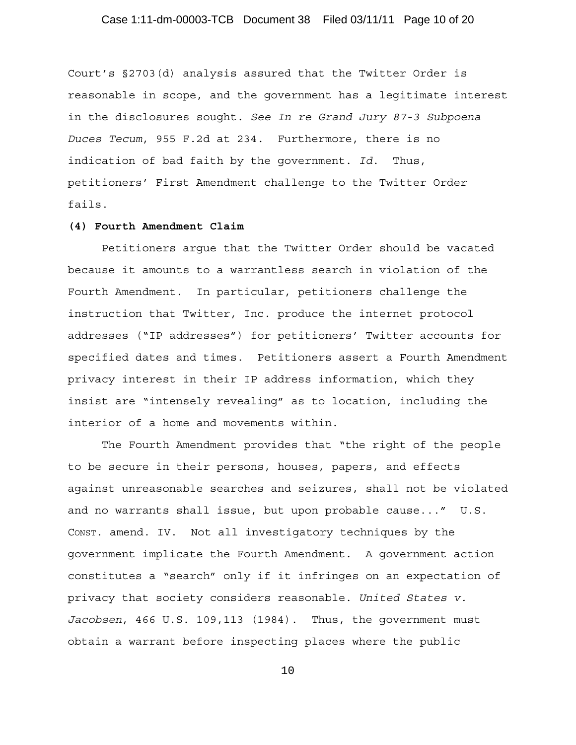# Case 1:11-dm-00003-TCB Document 38 Filed 03/11/11 Page 10 of 20

Court's §2703(d) analysis assured that the Twitter Order is reasonable in scope, and the government has a legitimate interest in the disclosures sought. *See In re Grand Jury 87-3 Subpoena Duces Tecum*, 955 F.2d at 234. Furthermore, there is no indication of bad faith by the government. *Id*. Thus, petitioners' First Amendment challenge to the Twitter Order fails.

#### **(4) Fourth Amendment Claim**

Petitioners argue that the Twitter Order should be vacated because it amounts to a warrantless search in violation of the Fourth Amendment. In particular, petitioners challenge the instruction that Twitter, Inc. produce the internet protocol addresses ("IP addresses") for petitioners' Twitter accounts for specified dates and times. Petitioners assert a Fourth Amendment privacy interest in their IP address information, which they insist are "intensely revealing" as to location, including the interior of a home and movements within.

The Fourth Amendment provides that "the right of the people to be secure in their persons, houses, papers, and effects against unreasonable searches and seizures, shall not be violated and no warrants shall issue, but upon probable cause..." U.S. CONST. amend. IV. Not all investigatory techniques by the government implicate the Fourth Amendment. A government action constitutes a "search" only if it infringes on an expectation of privacy that society considers reasonable. *United States v. Jacobsen*, 466 U.S. 109,113 (1984). Thus, the government must obtain a warrant before inspecting places where the public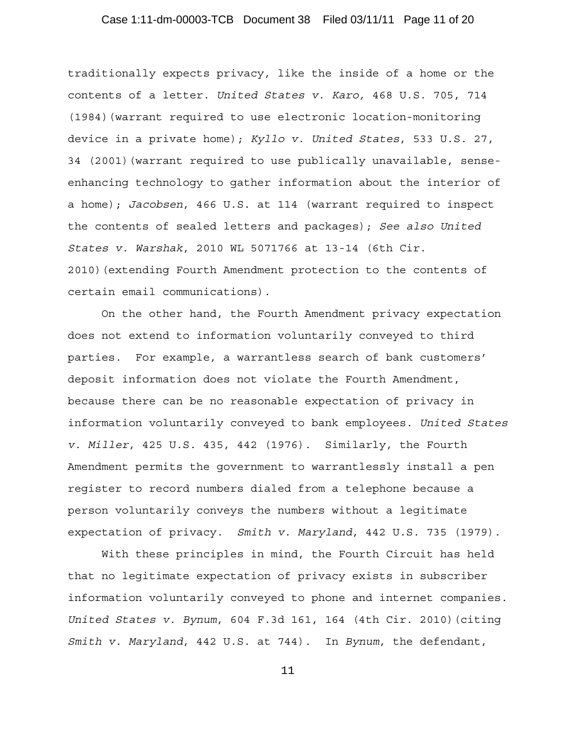# Case 1:11-dm-00003-TCB Document 38 Filed 03/11/11 Page 11 of 20

traditionally expects privacy, like the inside of a home or the contents of a letter. *United States v. Karo,* 468 U.S. 705, 714 (1984)(warrant required to use electronic location-monitoring device in a private home); *Kyllo v. United States*, 533 U.S. 27, 34 (2001)(warrant required to use publically unavailable, senseenhancing technology to gather information about the interior of a home); *Jacobsen*, 466 U.S. at 114 (warrant required to inspect the contents of sealed letters and packages); *See also United States v. Warshak*, 2010 WL 5071766 at 13-14 (6th Cir. 2010)(extending Fourth Amendment protection to the contents of certain email communications).

On the other hand, the Fourth Amendment privacy expectation does not extend to information voluntarily conveyed to third parties. For example, a warrantless search of bank customers' deposit information does not violate the Fourth Amendment, because there can be no reasonable expectation of privacy in information voluntarily conveyed to bank employees. *United States v. Miller*, 425 U.S. 435, 442 (1976). Similarly, the Fourth Amendment permits the government to warrantlessly install a pen register to record numbers dialed from a telephone because a person voluntarily conveys the numbers without a legitimate expectation of privacy. *Smith v. Maryland*, 442 U.S. 735 (1979).

With these principles in mind, the Fourth Circuit has held that no legitimate expectation of privacy exists in subscriber information voluntarily conveyed to phone and internet companies. *United States v. Bynum*, 604 F.3d 161, 164 (4th Cir. 2010)(citing *Smith v. Maryland*, 442 U.S. at 744). In *Bynum*, the defendant,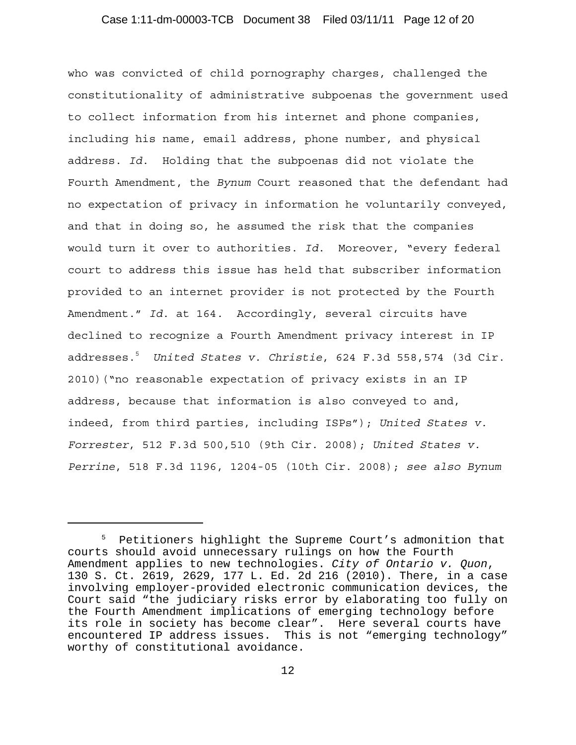# Case 1:11-dm-00003-TCB Document 38 Filed 03/11/11 Page 12 of 20

who was convicted of child pornography charges, challenged the constitutionality of administrative subpoenas the government used to collect information from his internet and phone companies, including his name, email address, phone number, and physical address. *Id*. Holding that the subpoenas did not violate the Fourth Amendment, the *Bynum* Court reasoned that the defendant had no expectation of privacy in information he voluntarily conveyed, and that in doing so, he assumed the risk that the companies would turn it over to authorities. *Id*. Moreover, "every federal court to address this issue has held that subscriber information provided to an internet provider is not protected by the Fourth Amendment." *Id*. at 164. Accordingly, several circuits have declined to recognize a Fourth Amendment privacy interest in IP addresses.5 *United States v. Christie*, 624 F.3d 558,574 (3d Cir. 2010)("no reasonable expectation of privacy exists in an IP address, because that information is also conveyed to and, indeed, from third parties, including ISPs"); *United States v. Forrester*, 512 F.3d 500,510 (9th Cir. 2008); *United States v. Perrine*, 518 F.3d 1196, 1204-05 (10th Cir. 2008); *see also Bynum*

<sup>&</sup>lt;sup>5</sup> Petitioners highlight the Supreme Court's admonition that courts should avoid unnecessary rulings on how the Fourth Amendment applies to new technologies. *City of Ontario v. Quon*, 130 S. Ct. 2619, 2629, 177 L. Ed. 2d 216 (2010). There, in a case involving employer-provided electronic communication devices, the Court said "the judiciary risks error by elaborating too fully on the Fourth Amendment implications of emerging technology before its role in society has become clear". Here several courts have encountered IP address issues. This is not "emerging technology" worthy of constitutional avoidance.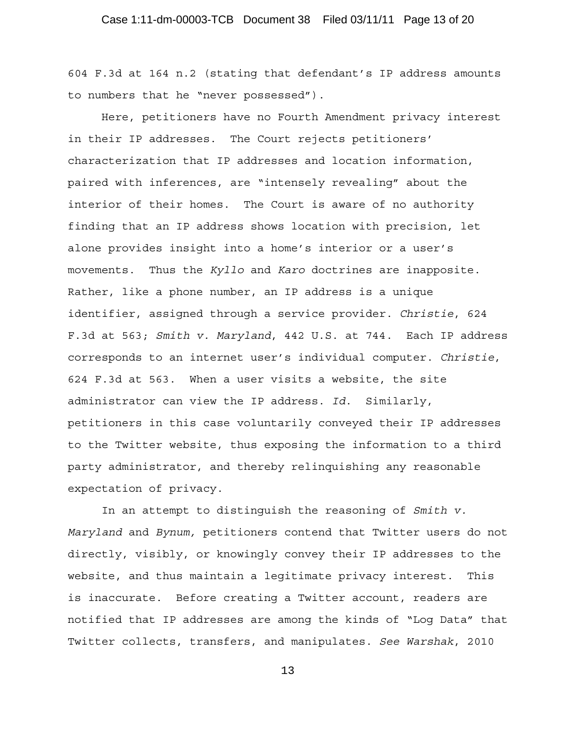604 F.3d at 164 n.2 (stating that defendant's IP address amounts to numbers that he "never possessed").

Here, petitioners have no Fourth Amendment privacy interest in their IP addresses. The Court rejects petitioners' characterization that IP addresses and location information, paired with inferences, are "intensely revealing" about the interior of their homes. The Court is aware of no authority finding that an IP address shows location with precision, let alone provides insight into a home's interior or a user's movements. Thus the *Kyllo* and *Karo* doctrines are inapposite. Rather, like a phone number, an IP address is a unique identifier, assigned through a service provider. *Christie*, 624 F.3d at 563; *Smith v. Maryland*, 442 U.S. at 744. Each IP address corresponds to an internet user's individual computer. *Christie*, 624 F.3d at 563. When a user visits a website, the site administrator can view the IP address. *Id*. Similarly, petitioners in this case voluntarily conveyed their IP addresses to the Twitter website, thus exposing the information to a third party administrator, and thereby relinquishing any reasonable expectation of privacy.

In an attempt to distinguish the reasoning of *Smith v. Maryland* and *Bynum,* petitioners contend that Twitter users do not directly, visibly, or knowingly convey their IP addresses to the website, and thus maintain a legitimate privacy interest. This is inaccurate. Before creating a Twitter account, readers are notified that IP addresses are among the kinds of "Log Data" that Twitter collects, transfers, and manipulates. *See Warshak*, 2010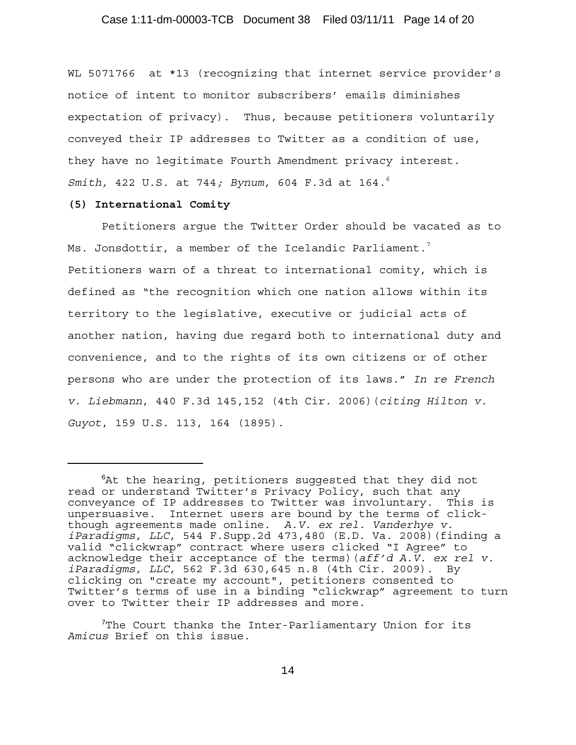WL 5071766 at \*13 (recognizing that internet service provider's notice of intent to monitor subscribers' emails diminishes expectation of privacy). Thus, because petitioners voluntarily conveyed their IP addresses to Twitter as a condition of use, they have no legitimate Fourth Amendment privacy interest. *Smith,* 422 U.S. at 744*; Bynum*, 604 F.3d at 164.6

#### **(5) International Comity**

Petitioners argue the Twitter Order should be vacated as to Ms. Jonsdottir, a member of the Icelandic Parliament.<sup>7</sup> Petitioners warn of a threat to international comity, which is defined as "the recognition which one nation allows within its territory to the legislative, executive or judicial acts of another nation, having due regard both to international duty and convenience, and to the rights of its own citizens or of other persons who are under the protection of its laws." *In re French v. Liebmann*, 440 F.3d 145,152 (4th Cir. 2006)(*citing Hilton v. Guyot*, 159 U.S. 113, 164 (1895).

<sup>6</sup> At the hearing, petitioners suggested that they did not read or understand Twitter's Privacy Policy, such that any conveyance of IP addresses to Twitter was involuntary. This is unpersuasive. Internet users are bound by the terms of clickthough agreements made online. *A.V. ex rel. Vanderhye v. iParadigms, LLC*, 544 F.Supp.2d 473,480 (E.D. Va. 2008)(finding a valid "clickwrap" contract where users clicked "I Agree" to acknowledge their acceptance of the terms)(*aff'd A.V. ex rel v. iParadigms, LLC*, 562 F.3d 630,645 n.8 (4th Cir. 2009). By clicking on "create my account", petitioners consented to Twitter's terms of use in a binding "clickwrap" agreement to turn over to Twitter their IP addresses and more.

 $7$ The Court thanks the Inter-Parliamentary Union for its *Amicus* Brief on this issue.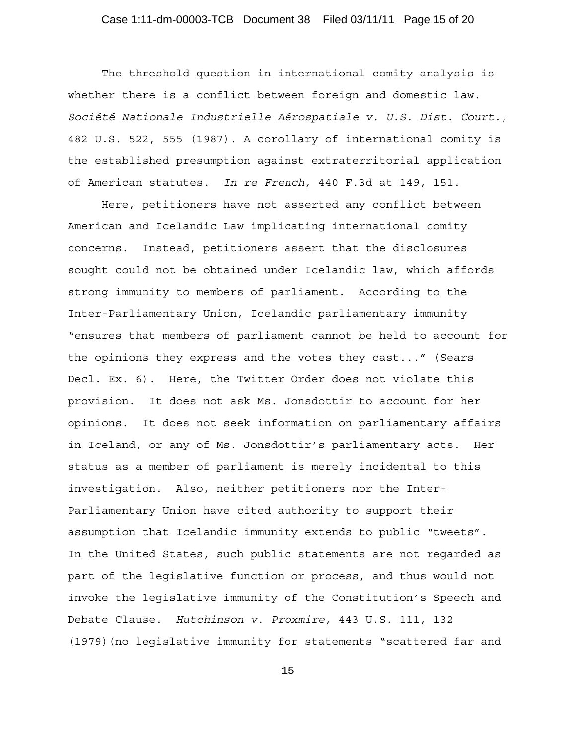# Case 1:11-dm-00003-TCB Document 38 Filed 03/11/11 Page 15 of 20

The threshold question in international comity analysis is whether there is a conflict between foreign and domestic law. *Société Nationale Industrielle Aérospatiale v. U.S. Dist. Court.*, 482 U.S. 522, 555 (1987). A corollary of international comity is the established presumption against extraterritorial application of American statutes. *In re French,* 440 F.3d at 149, 151.

Here, petitioners have not asserted any conflict between American and Icelandic Law implicating international comity concerns. Instead, petitioners assert that the disclosures sought could not be obtained under Icelandic law, which affords strong immunity to members of parliament. According to the Inter-Parliamentary Union, Icelandic parliamentary immunity "ensures that members of parliament cannot be held to account for the opinions they express and the votes they cast..." (Sears Decl. Ex. 6). Here, the Twitter Order does not violate this provision. It does not ask Ms. Jonsdottir to account for her opinions. It does not seek information on parliamentary affairs in Iceland, or any of Ms. Jonsdottir's parliamentary acts. Her status as a member of parliament is merely incidental to this investigation. Also, neither petitioners nor the Inter-Parliamentary Union have cited authority to support their assumption that Icelandic immunity extends to public "tweets". In the United States, such public statements are not regarded as part of the legislative function or process, and thus would not invoke the legislative immunity of the Constitution's Speech and Debate Clause. *Hutchinson v. Proxmire*, 443 U.S. 111, 132 (1979)(no legislative immunity for statements "scattered far and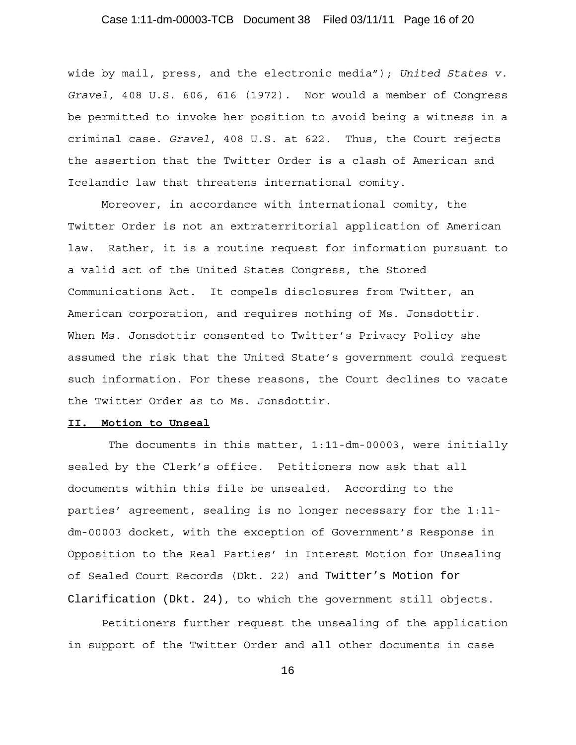# Case 1:11-dm-00003-TCB Document 38 Filed 03/11/11 Page 16 of 20

wide by mail, press, and the electronic media"); *United States v. Gravel*, 408 U.S. 606, 616 (1972). Nor would a member of Congress be permitted to invoke her position to avoid being a witness in a criminal case. *Gravel*, 408 U.S. at 622. Thus, the Court rejects the assertion that the Twitter Order is a clash of American and Icelandic law that threatens international comity.

 Moreover, in accordance with international comity, the Twitter Order is not an extraterritorial application of American law. Rather, it is a routine request for information pursuant to a valid act of the United States Congress, the Stored Communications Act. It compels disclosures from Twitter, an American corporation, and requires nothing of Ms. Jonsdottir. When Ms. Jonsdottir consented to Twitter's Privacy Policy she assumed the risk that the United State's government could request such information. For these reasons, the Court declines to vacate the Twitter Order as to Ms. Jonsdottir.

#### **II. Motion to Unseal**

 The documents in this matter, 1:11-dm-00003, were initially sealed by the Clerk's office. Petitioners now ask that all documents within this file be unsealed. According to the parties' agreement, sealing is no longer necessary for the 1:11 dm-00003 docket, with the exception of Government's Response in Opposition to the Real Parties' in Interest Motion for Unsealing of Sealed Court Records (Dkt. 22) and Twitter's Motion for Clarification (Dkt. 24), to which the government still objects.

Petitioners further request the unsealing of the application in support of the Twitter Order and all other documents in case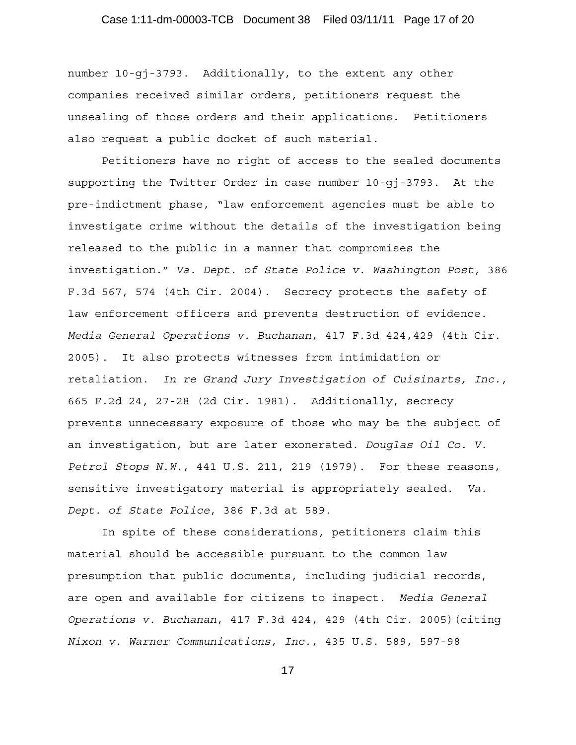number 10-gj-3793. Additionally, to the extent any other companies received similar orders, petitioners request the unsealing of those orders and their applications. Petitioners also request a public docket of such material.

Petitioners have no right of access to the sealed documents supporting the Twitter Order in case number 10-gj-3793. At the pre-indictment phase, "law enforcement agencies must be able to investigate crime without the details of the investigation being released to the public in a manner that compromises the investigation." *Va. Dept. of State Police v. Washington Post*, 386 F.3d 567, 574 (4th Cir. 2004). Secrecy protects the safety of law enforcement officers and prevents destruction of evidence. *Media General Operations v. Buchanan*, 417 F.3d 424,429 (4th Cir. 2005). It also protects witnesses from intimidation or retaliation. *In re Grand Jury Investigation of Cuisinarts, Inc.*, 665 F.2d 24, 27-28 (2d Cir. 1981). Additionally, secrecy prevents unnecessary exposure of those who may be the subject of an investigation, but are later exonerated. *Douglas Oil Co. V. Petrol Stops N.W.*, 441 U.S. 211, 219 (1979). For these reasons, sensitive investigatory material is appropriately sealed. *Va. Dept. of State Police*, 386 F.3d at 589.

 In spite of these considerations, petitioners claim this material should be accessible pursuant to the common law presumption that public documents, including judicial records, are open and available for citizens to inspect. *Media General Operations v. Buchanan*, 417 F.3d 424, 429 (4th Cir. 2005)(citing *Nixon v. Warner Communications, Inc.*, 435 U.S. 589, 597-98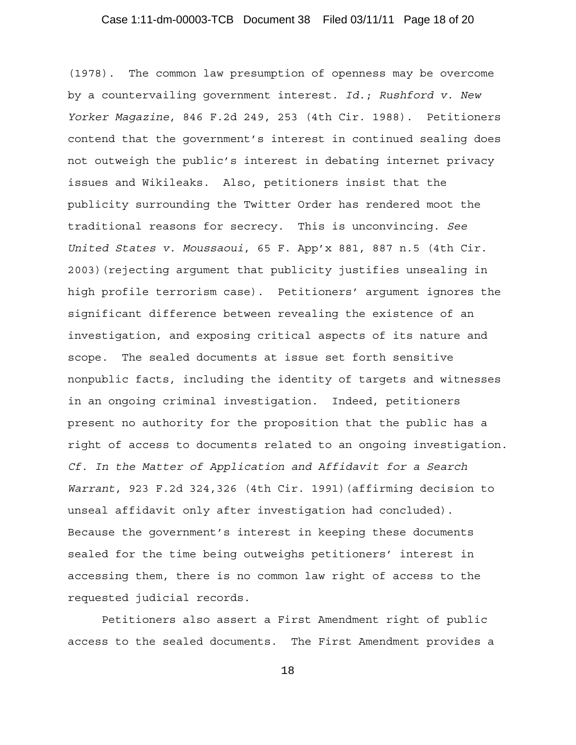(1978). The common law presumption of openness may be overcome by a countervailing government interest. *Id*.; *Rushford v. New Yorker Magazine*, 846 F.2d 249, 253 (4th Cir. 1988). Petitioners contend that the government's interest in continued sealing does not outweigh the public's interest in debating internet privacy issues and Wikileaks. Also, petitioners insist that the publicity surrounding the Twitter Order has rendered moot the traditional reasons for secrecy. This is unconvincing. *See United States v. Moussaoui*, 65 F. App'x 881, 887 n.5 (4th Cir. 2003)(rejecting argument that publicity justifies unsealing in high profile terrorism case). Petitioners' argument ignores the significant difference between revealing the existence of an investigation, and exposing critical aspects of its nature and scope. The sealed documents at issue set forth sensitive nonpublic facts, including the identity of targets and witnesses in an ongoing criminal investigation. Indeed, petitioners present no authority for the proposition that the public has a right of access to documents related to an ongoing investigation. *Cf. In the Matter of Application and Affidavit for a Search Warrant*, 923 F.2d 324,326 (4th Cir. 1991)(affirming decision to unseal affidavit only after investigation had concluded). Because the government's interest in keeping these documents sealed for the time being outweighs petitioners' interest in accessing them, there is no common law right of access to the requested judicial records.

Petitioners also assert a First Amendment right of public access to the sealed documents. The First Amendment provides a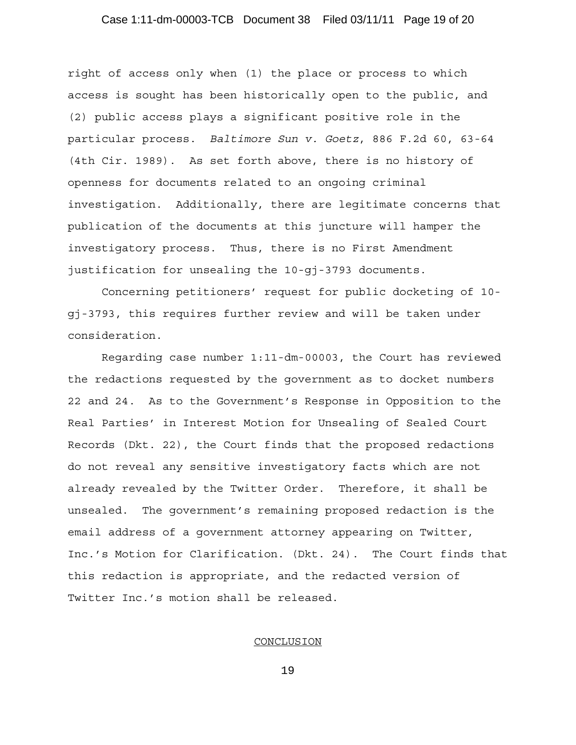# Case 1:11-dm-00003-TCB Document 38 Filed 03/11/11 Page 19 of 20

right of access only when (1) the place or process to which access is sought has been historically open to the public, and (2) public access plays a significant positive role in the particular process. *Baltimore Sun v. Goetz*, 886 F.2d 60, 63-64 (4th Cir. 1989). As set forth above, there is no history of openness for documents related to an ongoing criminal investigation. Additionally, there are legitimate concerns that publication of the documents at this juncture will hamper the investigatory process.Thus, there is no First Amendment justification for unsealing the 10-gj-3793 documents.

Concerning petitioners' request for public docketing of 10 gj-3793, this requires further review and will be taken under consideration.

Regarding case number 1:11-dm-00003, the Court has reviewed the redactions requested by the government as to docket numbers 22 and 24. As to the Government's Response in Opposition to the Real Parties' in Interest Motion for Unsealing of Sealed Court Records (Dkt. 22), the Court finds that the proposed redactions do not reveal any sensitive investigatory facts which are not already revealed by the Twitter Order. Therefore, it shall be unsealed. The government's remaining proposed redaction is the email address of a government attorney appearing on Twitter, Inc.'s Motion for Clarification. (Dkt. 24). The Court finds that this redaction is appropriate, and the redacted version of Twitter Inc.'s motion shall be released.

#### **CONCLUSION**